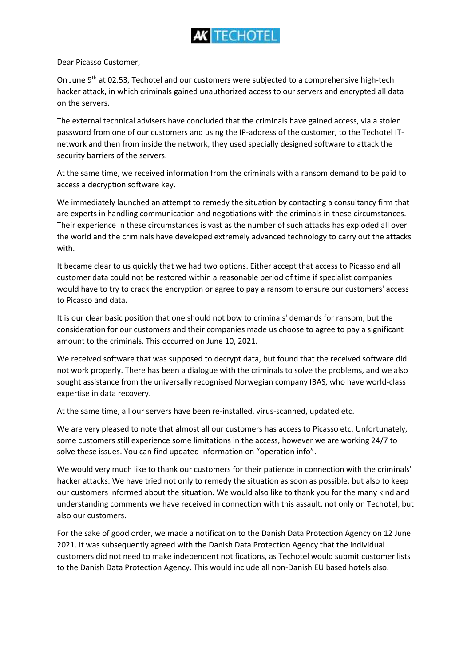

Dear Picasso Customer,

On June 9<sup>th</sup> at 02.53, Techotel and our customers were subjected to a comprehensive high-tech hacker attack, in which criminals gained unauthorized access to our servers and encrypted all data on the servers.

The external technical advisers have concluded that the criminals have gained access, via a stolen password from one of our customers and using the IP-address of the customer, to the Techotel ITnetwork and then from inside the network, they used specially designed software to attack the security barriers of the servers.

At the same time, we received information from the criminals with a ransom demand to be paid to access a decryption software key.

We immediately launched an attempt to remedy the situation by contacting a consultancy firm that are experts in handling communication and negotiations with the criminals in these circumstances. Their experience in these circumstances is vast as the number of such attacks has exploded all over the world and the criminals have developed extremely advanced technology to carry out the attacks with.

It became clear to us quickly that we had two options. Either accept that access to Picasso and all customer data could not be restored within a reasonable period of time if specialist companies would have to try to crack the encryption or agree to pay a ransom to ensure our customers' access to Picasso and data.

It is our clear basic position that one should not bow to criminals' demands for ransom, but the consideration for our customers and their companies made us choose to agree to pay a significant amount to the criminals. This occurred on June 10, 2021.

We received software that was supposed to decrypt data, but found that the received software did not work properly. There has been a dialogue with the criminals to solve the problems, and we also sought assistance from the universally recognised Norwegian company IBAS, who have world-class expertise in data recovery.

At the same time, all our servers have been re-installed, virus-scanned, updated etc.

We are very pleased to note that almost all our customers has access to Picasso etc. Unfortunately, some customers still experience some limitations in the access, however we are working 24/7 to solve these issues. You can find updated information on "operation info".

We would very much like to thank our customers for their patience in connection with the criminals' hacker attacks. We have tried not only to remedy the situation as soon as possible, but also to keep our customers informed about the situation. We would also like to thank you for the many kind and understanding comments we have received in connection with this assault, not only on Techotel, but also our customers.

For the sake of good order, we made a notification to the Danish Data Protection Agency on 12 June 2021. It was subsequently agreed with the Danish Data Protection Agency that the individual customers did not need to make independent notifications, as Techotel would submit customer lists to the Danish Data Protection Agency. This would include all non-Danish EU based hotels also.